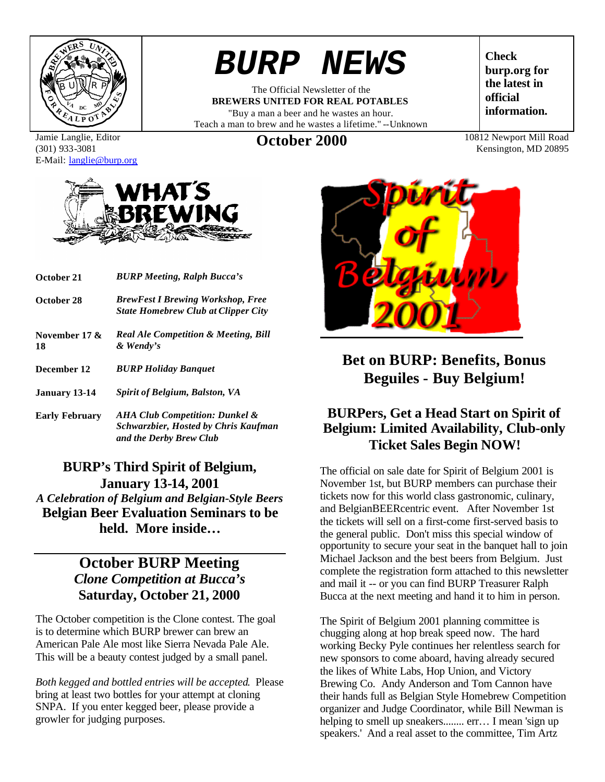

# *BURP NEWS*

The Official Newsletter of the **BREWERS UNITED FOR REAL POTABLES** "Buy a man a beer and he wastes an hour. Teach a man to brew and he wastes a lifetime." --Unknown

**Check burp.org for the latest in official information.**

Kensington, MD 20895

Jamie Langlie, Editor (301) 933-3081 E-Mail: langlie@burp.org



- **October 21** *BURP Meeting, Ralph Bucca's*
- **October 28** *BrewFest I Brewing Workshop, Free State Homebrew Club at Clipper City*
- **November 17 & 18** *Real Ale Competition & Meeting, Bill & Wendy's*
- **December 12** *BURP Holiday Banquet*
- **January 13-14** *Spirit of Belgium, Balston, VA*
- **Early February** *AHA Club Competition: Dunkel & Schwarzbier, Hosted by Chris Kaufman and the Derby Brew Club*

#### **BURP's Third Spirit of Belgium, January 13-14, 2001** *A Celebration of Belgium and Belgian-Style Beers* **Belgian Beer Evaluation Seminars to be**

**held. More inside…**

# **October BURP Meeting** *Clone Competition at Bucca's* **Saturday, October 21, 2000**

The October competition is the Clone contest. The goal is to determine which BURP brewer can brew an American Pale Ale most like Sierra Nevada Pale Ale. This will be a beauty contest judged by a small panel.

*Both kegged and bottled entries will be accepted*. Please bring at least two bottles for your attempt at cloning SNPA. If you enter kegged beer, please provide a growler for judging purposes.



# **Bet on BURP: Benefits, Bonus Beguiles - Buy Belgium!**

### **BURPers, Get a Head Start on Spirit of Belgium: Limited Availability, Club-only Ticket Sales Begin NOW!**

The official on sale date for Spirit of Belgium 2001 is November 1st, but BURP members can purchase their tickets now for this world class gastronomic, culinary, and BelgianBEERcentric event. After November 1st the tickets will sell on a first-come first-served basis to the general public. Don't miss this special window of opportunity to secure your seat in the banquet hall to join Michael Jackson and the best beers from Belgium. Just complete the registration form attached to this newsletter and mail it -- or you can find BURP Treasurer Ralph Bucca at the next meeting and hand it to him in person.

The Spirit of Belgium 2001 planning committee is chugging along at hop break speed now. The hard working Becky Pyle continues her relentless search for new sponsors to come aboard, having already secured the likes of White Labs, Hop Union, and Victory Brewing Co. Andy Anderson and Tom Cannon have their hands full as Belgian Style Homebrew Competition organizer and Judge Coordinator, while Bill Newman is helping to smell up sneakers........ err... I mean 'sign up speakers.' And a real asset to the committee, Tim Artz

**October 2000** 10812 Newport Mill Road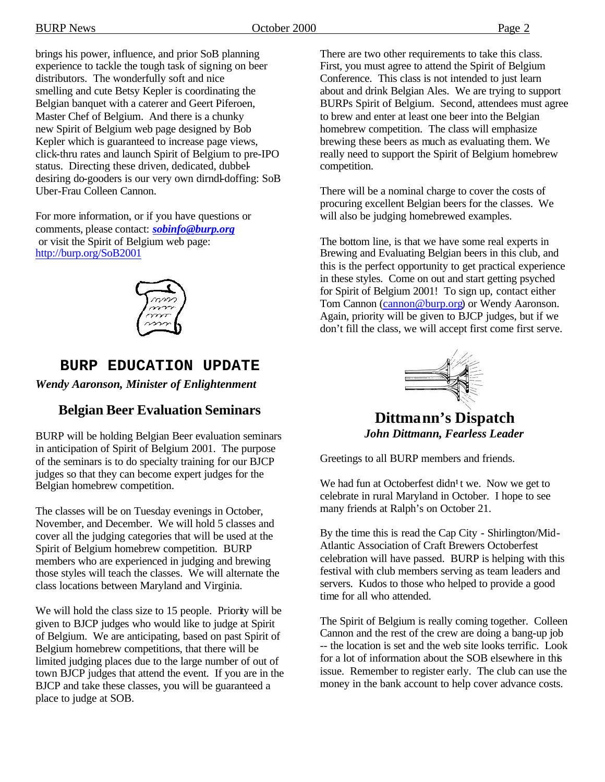brings his power, influence, and prior SoB planning experience to tackle the tough task of signing on beer distributors. The wonderfully soft and nice smelling and cute Betsy Kepler is coordinating the Belgian banquet with a caterer and Geert Piferoen, Master Chef of Belgium. And there is a chunky new Spirit of Belgium web page designed by Bob Kepler which is guaranteed to increase page views, click-thru rates and launch Spirit of Belgium to pre-IPO status. Directing these driven, dedicated, dubbeldesiring do-gooders is our very own dirndl-doffing: SoB Uber-Frau Colleen Cannon.

For more information, or if you have questions or comments, please contact: *sobinfo@burp.org* or visit the Spirit of Belgium web page: http://burp.org/SoB2001



# **BURP EDUCATION UPDATE**

*Wendy Aaronson, Minister of Enlightenment*

# **Belgian Beer Evaluation Seminars**

BURP will be holding Belgian Beer evaluation seminars in anticipation of Spirit of Belgium 2001. The purpose of the seminars is to do specialty training for our BJCP judges so that they can become expert judges for the Belgian homebrew competition.

The classes will be on Tuesday evenings in October, November, and December. We will hold 5 classes and cover all the judging categories that will be used at the Spirit of Belgium homebrew competition. BURP members who are experienced in judging and brewing those styles will teach the classes. We will alternate the class locations between Maryland and Virginia.

We will hold the class size to 15 people. Priority will be given to BJCP judges who would like to judge at Spirit of Belgium. We are anticipating, based on past Spirit of Belgium homebrew competitions, that there will be limited judging places due to the large number of out of town BJCP judges that attend the event. If you are in the BJCP and take these classes, you will be guaranteed a place to judge at SOB.

There are two other requirements to take this class. First, you must agree to attend the Spirit of Belgium Conference. This class is not intended to just learn about and drink Belgian Ales. We are trying to support BURPs Spirit of Belgium. Second, attendees must agree to brew and enter at least one beer into the Belgian homebrew competition. The class will emphasize brewing these beers as much as evaluating them. We really need to support the Spirit of Belgium homebrew competition.

There will be a nominal charge to cover the costs of procuring excellent Belgian beers for the classes. We will also be judging homebrewed examples.

The bottom line, is that we have some real experts in Brewing and Evaluating Belgian beers in this club, and this is the perfect opportunity to get practical experience in these styles. Come on out and start getting psyched for Spirit of Belgium 2001! To sign up, contact either Tom Cannon (cannon@burp.org) or Wendy Aaronson. Again, priority will be given to BJCP judges, but if we don't fill the class, we will accept first come first serve.



**Dittmann's Dispatch** *John Dittmann, Fearless Leader*

Greetings to all BURP members and friends.

We had fun at Octoberfest didn<sup>1</sup>t we. Now we get to celebrate in rural Maryland in October. I hope to see many friends at Ralph's on October 21.

By the time this is read the Cap City - Shirlington/Mid-Atlantic Association of Craft Brewers Octoberfest celebration will have passed. BURP is helping with this festival with club members serving as team leaders and servers. Kudos to those who helped to provide a good time for all who attended.

The Spirit of Belgium is really coming together. Colleen Cannon and the rest of the crew are doing a bang-up job -- the location is set and the web site looks terrific. Look for a lot of information about the SOB elsewhere in this issue. Remember to register early. The club can use the money in the bank account to help cover advance costs.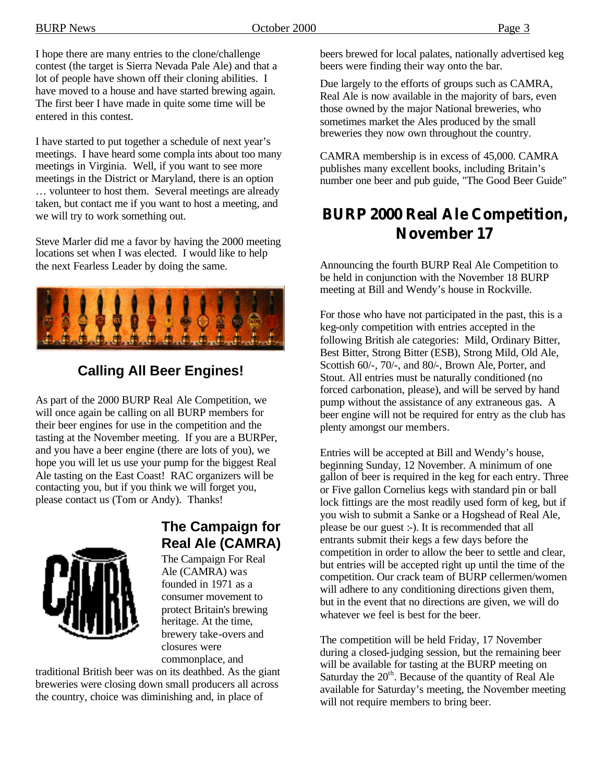I hope there are many entries to the clone/challenge contest (the target is Sierra Nevada Pale Ale) and that a lot of people have shown off their cloning abilities. I have moved to a house and have started brewing again. The first beer I have made in quite some time will be entered in this contest.

I have started to put together a schedule of next year's meetings. I have heard some compla ints about too many meetings in Virginia. Well, if you want to see more meetings in the District or Maryland, there is an option … volunteer to host them. Several meetings are already taken, but contact me if you want to host a meeting, and we will try to work something out.

Steve Marler did me a favor by having the 2000 meeting locations set when I was elected. I would like to help the next Fearless Leader by doing the same.



# **Calling All Beer Engines!**

As part of the 2000 BURP Real Ale Competition, we will once again be calling on all BURP members for their beer engines for use in the competition and the tasting at the November meeting. If you are a BURPer, and you have a beer engine (there are lots of you), we hope you will let us use your pump for the biggest Real Ale tasting on the East Coast! RAC organizers will be contacting you, but if you think we will forget you, please contact us (Tom or Andy). Thanks!



# **The Campaign for Real Ale (CAMRA)**

The Campaign For Real Ale (CAMRA) was founded in 1971 as a consumer movement to protect Britain's brewing heritage. At the time, brewery take-overs and closures were commonplace, and

traditional British beer was on its deathbed. As the giant breweries were closing down small producers all across the country, choice was diminishing and, in place of

beers brewed for local palates, nationally advertised keg beers were finding their way onto the bar.

Due largely to the efforts of groups such as CAMRA, Real Ale is now available in the majority of bars, even those owned by the major National breweries, who sometimes market the Ales produced by the small breweries they now own throughout the country.

CAMRA membership is in excess of 45,000. CAMRA publishes many excellent books, including Britain's number one beer and pub guide, "The Good Beer Guide"

# **BURP 2000 Real Ale Competition, November 17**

Announcing the fourth BURP Real Ale Competition to be held in conjunction with the November 18 BURP meeting at Bill and Wendy's house in Rockville.

For those who have not participated in the past, this is a keg-only competition with entries accepted in the following British ale categories: Mild, Ordinary Bitter, Best Bitter, Strong Bitter (ESB), Strong Mild, Old Ale, Scottish 60/-, 70/-, and 80/-, Brown Ale, Porter, and Stout. All entries must be naturally conditioned (no forced carbonation, please), and will be served by hand pump without the assistance of any extraneous gas. A beer engine will not be required for entry as the club has plenty amongst our members.

Entries will be accepted at Bill and Wendy's house, beginning Sunday, 12 November. A minimum of one gallon of beer is required in the keg for each entry. Three or Five gallon Cornelius kegs with standard pin or ball lock fittings are the most readily used form of keg, but if you wish to submit a Sanke or a Hogshead of Real Ale, please be our guest :-). It is recommended that all entrants submit their kegs a few days before the competition in order to allow the beer to settle and clear, but entries will be accepted right up until the time of the competition. Our crack team of BURP cellermen/women will adhere to any conditioning directions given them, but in the event that no directions are given, we will do whatever we feel is best for the beer.

The competition will be held Friday, 17 November during a closed-judging session, but the remaining beer will be available for tasting at the BURP meeting on Saturday the  $20<sup>th</sup>$ . Because of the quantity of Real Ale available for Saturday's meeting, the November meeting will not require members to bring beer.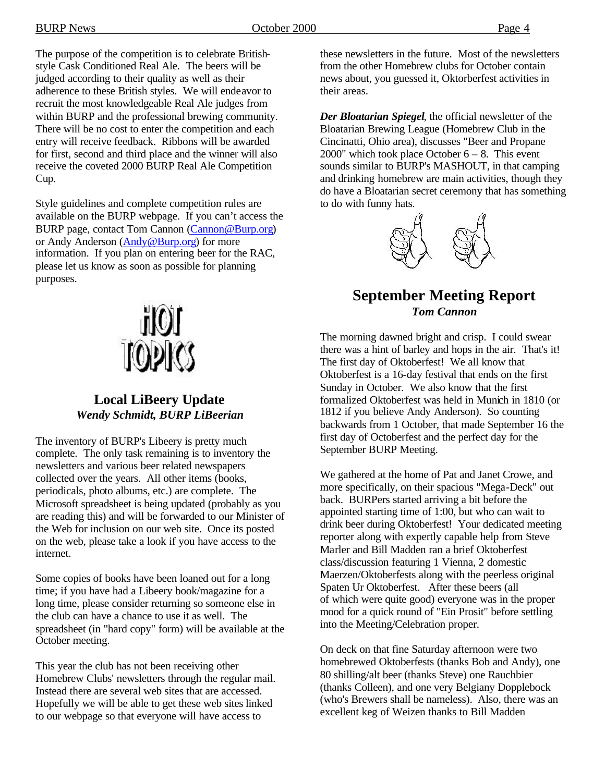The purpose of the competition is to celebrate Britishstyle Cask Conditioned Real Ale. The beers will be judged according to their quality as well as their adherence to these British styles. We will endeavor to recruit the most knowledgeable Real Ale judges from within BURP and the professional brewing community. There will be no cost to enter the competition and each entry will receive feedback. Ribbons will be awarded for first, second and third place and the winner will also receive the coveted 2000 BURP Real Ale Competition Cup.

Style guidelines and complete competition rules are available on the BURP webpage. If you can't access the BURP page, contact Tom Cannon (Cannon@Burp.org) or Andy Anderson (Andy@Burp.org) for more information. If you plan on entering beer for the RAC, please let us know as soon as possible for planning purposes.



#### **Local LiBeery Update** *Wendy Schmidt, BURP LiBeerian*

The inventory of BURP's Libeery is pretty much complete. The only task remaining is to inventory the newsletters and various beer related newspapers collected over the years. All other items (books, periodicals, photo albums, etc.) are complete. The Microsoft spreadsheet is being updated (probably as you are reading this) and will be forwarded to our Minister of the Web for inclusion on our web site. Once its posted on the web, please take a look if you have access to the internet.

Some copies of books have been loaned out for a long time; if you have had a Libeery book/magazine for a long time, please consider returning so someone else in the club can have a chance to use it as well. The spreadsheet (in "hard copy" form) will be available at the October meeting.

This year the club has not been receiving other Homebrew Clubs' newsletters through the regular mail. Instead there are several web sites that are accessed. Hopefully we will be able to get these web sites linked to our webpage so that everyone will have access to

these newsletters in the future. Most of the newsletters from the other Homebrew clubs for October contain news about, you guessed it, Oktorberfest activities in their areas.

*Der Bloatarian Spiegel*, the official newsletter of the Bloatarian Brewing League (Homebrew Club in the Cincinatti, Ohio area), discusses "Beer and Propane 2000" which took place October  $6 - 8$ . This event sounds similar to BURP's MASHOUT, in that camping and drinking homebrew are main activities, though they do have a Bloatarian secret ceremony that has something to do with funny hats.



### **September Meeting Report** *Tom Cannon*

The morning dawned bright and crisp. I could swear there was a hint of barley and hops in the air. That's it! The first day of Oktoberfest! We all know that Oktoberfest is a 16-day festival that ends on the first Sunday in October. We also know that the first formalized Oktoberfest was held in Munich in 1810 (or 1812 if you believe Andy Anderson). So counting backwards from 1 October, that made September 16 the first day of Octoberfest and the perfect day for the September BURP Meeting.

We gathered at the home of Pat and Janet Crowe, and more specifically, on their spacious "Mega-Deck" out back. BURPers started arriving a bit before the appointed starting time of 1:00, but who can wait to drink beer during Oktoberfest! Your dedicated meeting reporter along with expertly capable help from Steve Marler and Bill Madden ran a brief Oktoberfest class/discussion featuring 1 Vienna, 2 domestic Maerzen/Oktoberfests along with the peerless original Spaten Ur Oktoberfest. After these beers (all of which were quite good) everyone was in the proper mood for a quick round of "Ein Prosit" before settling into the Meeting/Celebration proper.

On deck on that fine Saturday afternoon were two homebrewed Oktoberfests (thanks Bob and Andy), one 80 shilling/alt beer (thanks Steve) one Rauchbier (thanks Colleen), and one very Belgiany Dopplebock (who's Brewers shall be nameless). Also, there was an excellent keg of Weizen thanks to Bill Madden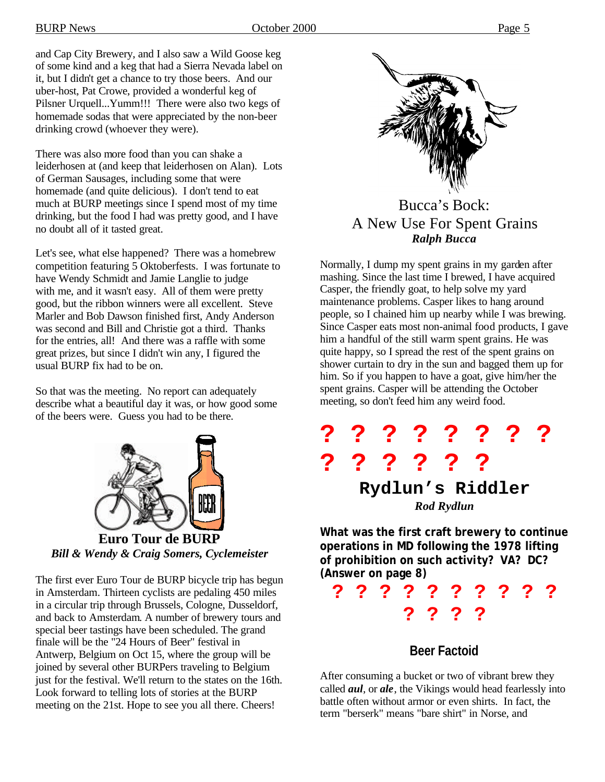and Cap City Brewery, and I also saw a Wild Goose keg of some kind and a keg that had a Sierra Nevada label on it, but I didn't get a chance to try those beers. And our uber-host, Pat Crowe, provided a wonderful keg of Pilsner Urquell...Yumm!!! There were also two kegs of homemade sodas that were appreciated by the non-beer drinking crowd (whoever they were).

There was also more food than you can shake a leiderhosen at (and keep that leiderhosen on Alan). Lots of German Sausages, including some that were homemade (and quite delicious). I don't tend to eat much at BURP meetings since I spend most of my time drinking, but the food I had was pretty good, and I have no doubt all of it tasted great.

Let's see, what else happened? There was a homebrew competition featuring 5 Oktoberfests. I was fortunate to have Wendy Schmidt and Jamie Langlie to judge with me, and it wasn't easy. All of them were pretty good, but the ribbon winners were all excellent. Steve Marler and Bob Dawson finished first, Andy Anderson was second and Bill and Christie got a third. Thanks for the entries, all! And there was a raffle with some great prizes, but since I didn't win any, I figured the usual BURP fix had to be on.

So that was the meeting. No report can adequately describe what a beautiful day it was, or how good some of the beers were. Guess you had to be there.



The first ever Euro Tour de BURP bicycle trip has begun in Amsterdam. Thirteen cyclists are pedaling 450 miles in a circular trip through Brussels, Cologne, Dusseldorf, and back to Amsterdam. A number of brewery tours and special beer tastings have been scheduled. The grand finale will be the "24 Hours of Beer" festival in Antwerp, Belgium on Oct 15, where the group will be joined by several other BURPers traveling to Belgium just for the festival. We'll return to the states on the 16th. Look forward to telling lots of stories at the BURP meeting on the 21st. Hope to see you all there. Cheers!



Bucca's Bock: A New Use For Spent Grains *Ralph Bucca*

Normally, I dump my spent grains in my garden after mashing. Since the last time I brewed, I have acquired Casper, the friendly goat, to help solve my yard maintenance problems. Casper likes to hang around people, so I chained him up nearby while I was brewing. Since Casper eats most non-animal food products, I gave him a handful of the still warm spent grains. He was quite happy, so I spread the rest of the spent grains on shower curtain to dry in the sun and bagged them up for him. So if you happen to have a goat, give him/her the spent grains. Casper will be attending the October meeting, so don't feed him any weird food.



**What was the first craft brewery to continue operations in MD following the 1978 lifting of prohibition on such activity? VA? DC? (Answer on page 8)**

**? ? ? ? ? ? ? ? ? ? ? ? ? ?**

#### **Beer Factoid**

After consuming a bucket or two of vibrant brew they called *aul*, or *ale*, the Vikings would head fearlessly into battle often without armor or even shirts. In fact, the term "berserk" means "bare shirt" in Norse, and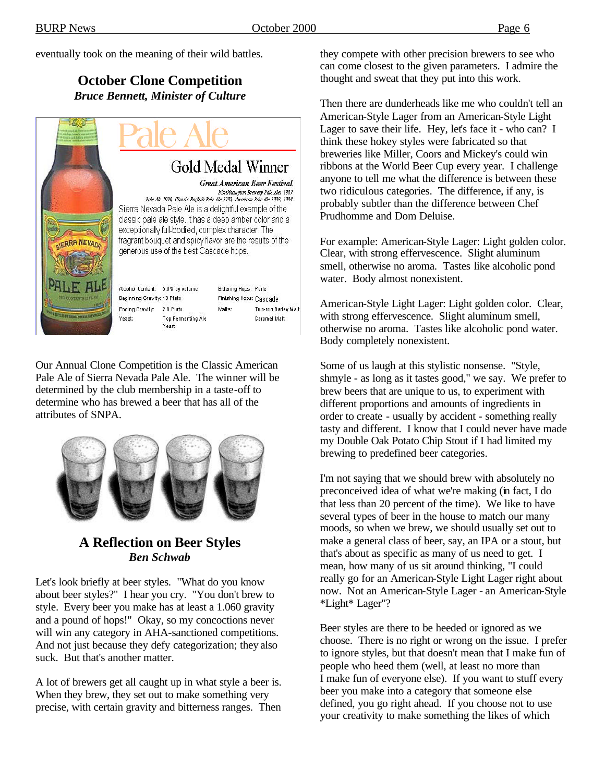eventually took on the meaning of their wild battles.

#### **October Clone Competition** *Bruce Bennett, Minister of Culture*



Our Annual Clone Competition is the Classic American Pale Ale of Sierra Nevada Pale Ale. The winner will be determined by the club membership in a taste-off to determine who has brewed a beer that has all of the attributes of SNPA.



#### **A Reflection on Beer Styles** *Ben Schwab*

Let's look briefly at beer styles. "What do you know about beer styles?" I hear you cry. "You don't brew to style. Every beer you make has at least a 1.060 gravity and a pound of hops!" Okay, so my concoctions never will win any category in AHA-sanctioned competitions. And not just because they defy categorization; they also suck. But that's another matter.

A lot of brewers get all caught up in what style a beer is. When they brew, they set out to make something very precise, with certain gravity and bitterness ranges. Then they compete with other precision brewers to see who can come closest to the given parameters. I admire the thought and sweat that they put into this work.

Then there are dunderheads like me who couldn't tell an American-Style Lager from an American-Style Light Lager to save their life. Hey, let's face it - who can? I think these hokey styles were fabricated so that breweries like Miller, Coors and Mickey's could win ribbons at the World Beer Cup every year. I challenge anyone to tell me what the difference is between these two ridiculous categories. The difference, if any, is probably subtler than the difference between Chef Prudhomme and Dom Deluise.

For example: American-Style Lager: Light golden color. Clear, with strong effervescence. Slight aluminum smell, otherwise no aroma. Tastes like alcoholic pond water. Body almost nonexistent.

American-Style Light Lager: Light golden color. Clear, with strong effervescence. Slight aluminum smell, otherwise no aroma. Tastes like alcoholic pond water. Body completely nonexistent.

Some of us laugh at this stylistic nonsense. "Style, shmyle - as long as it tastes good," we say. We prefer to brew beers that are unique to us, to experiment with different proportions and amounts of ingredients in order to create - usually by accident - something really tasty and different. I know that I could never have made my Double Oak Potato Chip Stout if I had limited my brewing to predefined beer categories.

I'm not saying that we should brew with absolutely no preconceived idea of what we're making (in fact, I do that less than 20 percent of the time). We like to have several types of beer in the house to match our many moods, so when we brew, we should usually set out to make a general class of beer, say, an IPA or a stout, but that's about as specific as many of us need to get. I mean, how many of us sit around thinking, "I could really go for an American-Style Light Lager right about now. Not an American-Style Lager - an American-Style \*Light\* Lager"?

Beer styles are there to be heeded or ignored as we choose. There is no right or wrong on the issue. I prefer to ignore styles, but that doesn't mean that I make fun of people who heed them (well, at least no more than I make fun of everyone else). If you want to stuff every beer you make into a category that someone else defined, you go right ahead. If you choose not to use your creativity to make something the likes of which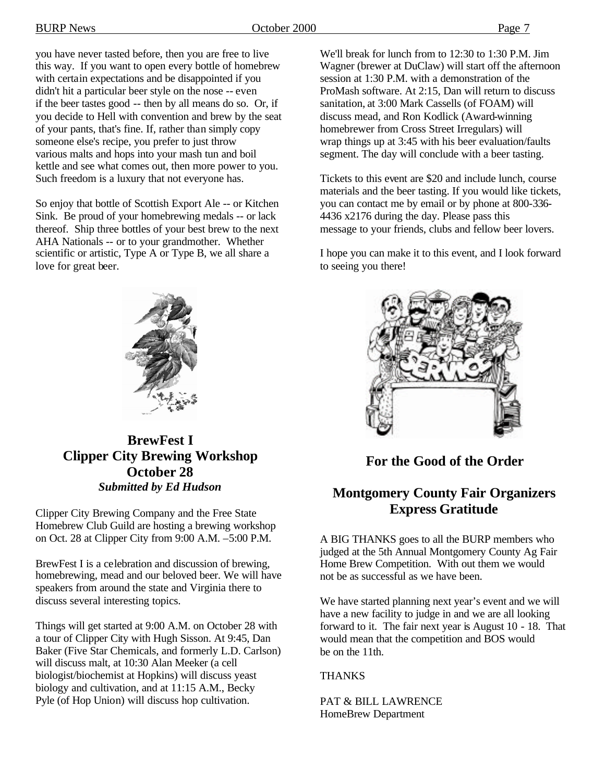you have never tasted before, then you are free to live this way. If you want to open every bottle of homebrew with certain expectations and be disappointed if you didn't hit a particular beer style on the nose -- even if the beer tastes good -- then by all means do so. Or, if you decide to Hell with convention and brew by the seat of your pants, that's fine. If, rather than simply copy someone else's recipe, you prefer to just throw various malts and hops into your mash tun and boil kettle and see what comes out, then more power to you. Such freedom is a luxury that not everyone has.

So enjoy that bottle of Scottish Export Ale -- or Kitchen Sink. Be proud of your homebrewing medals -- or lack thereof. Ship three bottles of your best brew to the next AHA Nationals -- or to your grandmother. Whether scientific or artistic, Type A or Type B, we all share a love for great beer.

We'll break for lunch from to 12:30 to 1:30 P.M. Jim Wagner (brewer at DuClaw) will start off the afternoon session at 1:30 P.M. with a demonstration of the ProMash software. At 2:15, Dan will return to discuss sanitation, at 3:00 Mark Cassells (of FOAM) will discuss mead, and Ron Kodlick (Award-winning homebrewer from Cross Street Irregulars) will wrap things up at 3:45 with his beer evaluation/faults segment. The day will conclude with a beer tasting.

Tickets to this event are \$20 and include lunch, course materials and the beer tasting. If you would like tickets, you can contact me by email or by phone at 800-336- 4436 x2176 during the day. Please pass this message to your friends, clubs and fellow beer lovers.

I hope you can make it to this event, and I look forward to seeing you there!



**For the Good of the Order**

# **Montgomery County Fair Organizers Express Gratitude**

A BIG THANKS goes to all the BURP members who judged at the 5th Annual Montgomery County Ag Fair Home Brew Competition. With out them we would not be as successful as we have been.

We have started planning next year's event and we will have a new facility to judge in and we are all looking forward to it. The fair next year is August 10 - 18. That would mean that the competition and BOS would be on the 11th.

**THANKS** 

PAT & BILL LAWRENCE HomeBrew Department



### **BrewFest I Clipper City Brewing Workshop October 28** *Submitted by Ed Hudson*

Clipper City Brewing Company and the Free State Homebrew Club Guild are hosting a brewing workshop on Oct. 28 at Clipper City from 9:00 A.M. –5:00 P.M.

BrewFest I is a celebration and discussion of brewing, homebrewing, mead and our beloved beer. We will have speakers from around the state and Virginia there to discuss several interesting topics.

Things will get started at 9:00 A.M. on October 28 with a tour of Clipper City with Hugh Sisson. At 9:45, Dan Baker (Five Star Chemicals, and formerly L.D. Carlson) will discuss malt, at 10:30 Alan Meeker (a cell biologist/biochemist at Hopkins) will discuss yeast biology and cultivation, and at 11:15 A.M., Becky Pyle (of Hop Union) will discuss hop cultivation.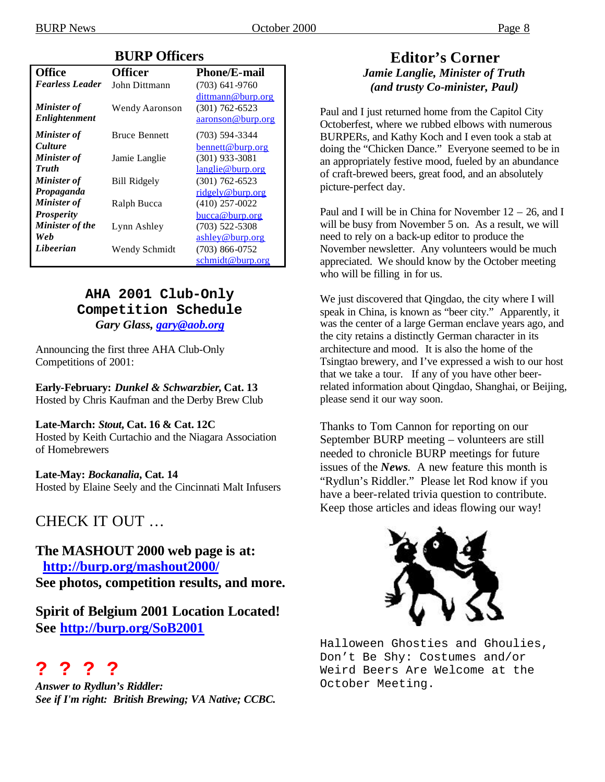#### **BURP Officers**

| <b>Office</b>                       | <b>Officer</b>       | <b>Phone/E-mail</b>                                          |
|-------------------------------------|----------------------|--------------------------------------------------------------|
| <b>Fearless Leader</b>              | John Dittmann        | $(703)$ 641-9760                                             |
| <b>Minister of</b><br>Enlightenment | Wendy Aaronson       | dittmann@burp.org<br>$(301) 762 - 6523$<br>aaronson@burp.org |
| <b>Minister of</b>                  | <b>Bruce Bennett</b> | $(703)$ 594-3344                                             |
| <i>Culture</i>                      |                      | bennett@burp.org                                             |
| <b>Minister of</b>                  | Jamie Langlie        | $(301)$ 933-3081                                             |
| <b>Truth</b>                        |                      | langlie@burp.org                                             |
| <b>Minister of</b>                  | <b>Bill Ridgely</b>  | $(301)$ 762-6523                                             |
| Propaganda                          |                      | ridgely@burp.org                                             |
| <b>Minister of</b>                  | Ralph Bucca          | $(410)$ 257-0022                                             |
| <b>Prosperity</b>                   |                      | bucca@burp.org                                               |
| Minister of the                     | Lynn Ashley          | $(703)$ 522-5308                                             |
| Web                                 |                      | ashley@burp.org                                              |
| Libeerian                           | Wendy Schmidt        | $(703)$ 866-0752                                             |
|                                     |                      | schmidt@burp.org                                             |

#### **AHA 2001 Club-Only Competition Schedule** *Gary Glass, gary@aob.org*

Announcing the first three AHA Club-Only Competitions of 2001:

**Early-February:** *Dunkel & Schwarzbier***, Cat. 13** Hosted by Chris Kaufman and the Derby Brew Club

#### **Late-March:** *Stout***, Cat. 16 & Cat. 12C**

Hosted by Keith Curtachio and the Niagara Association of Homebrewers

#### **Late-May:** *Bockanalia***, Cat. 14**

Hosted by Elaine Seely and the Cincinnati Malt Infusers

# CHECK IT OUT …

**The MASHOUT 2000 web page is at: http://burp.org/mashout2000/ See photos, competition results, and more.**

**Spirit of Belgium 2001 Location Located! See http://burp.org/SoB2001**

# **? ? ? ?**

*Answer to Rydlun's Riddler: See if I'm right: British Brewing; VA Native; CCBC.*

#### **Editor's Corner** *Jamie Langlie, Minister of Truth (and trusty Co-minister, Paul)*

Paul and I just returned home from the Capitol City Octoberfest, where we rubbed elbows with numerous BURPERs, and Kathy Koch and I even took a stab at doing the "Chicken Dance." Everyone seemed to be in an appropriately festive mood, fueled by an abundance of craft-brewed beers, great food, and an absolutely picture-perfect day.

Paul and I will be in China for November  $12 - 26$ , and I will be busy from November 5 on. As a result, we will need to rely on a back-up editor to produce the November newsletter. Any volunteers would be much appreciated. We should know by the October meeting who will be filling in for us.

We just discovered that Qingdao, the city where I will speak in China, is known as "beer city." Apparently, it was the center of a large German enclave years ago, and the city retains a distinctly German character in its architecture and mood. It is also the home of the Tsingtao brewery, and I've expressed a wish to our host that we take a tour. If any of you have other beerrelated information about Qingdao, Shanghai, or Beijing, please send it our way soon.

Thanks to Tom Cannon for reporting on our September BURP meeting – volunteers are still needed to chronicle BURP meetings for future issues of the *News*. A new feature this month is "Rydlun's Riddler." Please let Rod know if you have a beer-related trivia question to contribute. Keep those articles and ideas flowing our way!



Halloween Ghosties and Ghoulies, Don't Be Shy: Costumes and/or Weird Beers Are Welcome at the October Meeting.